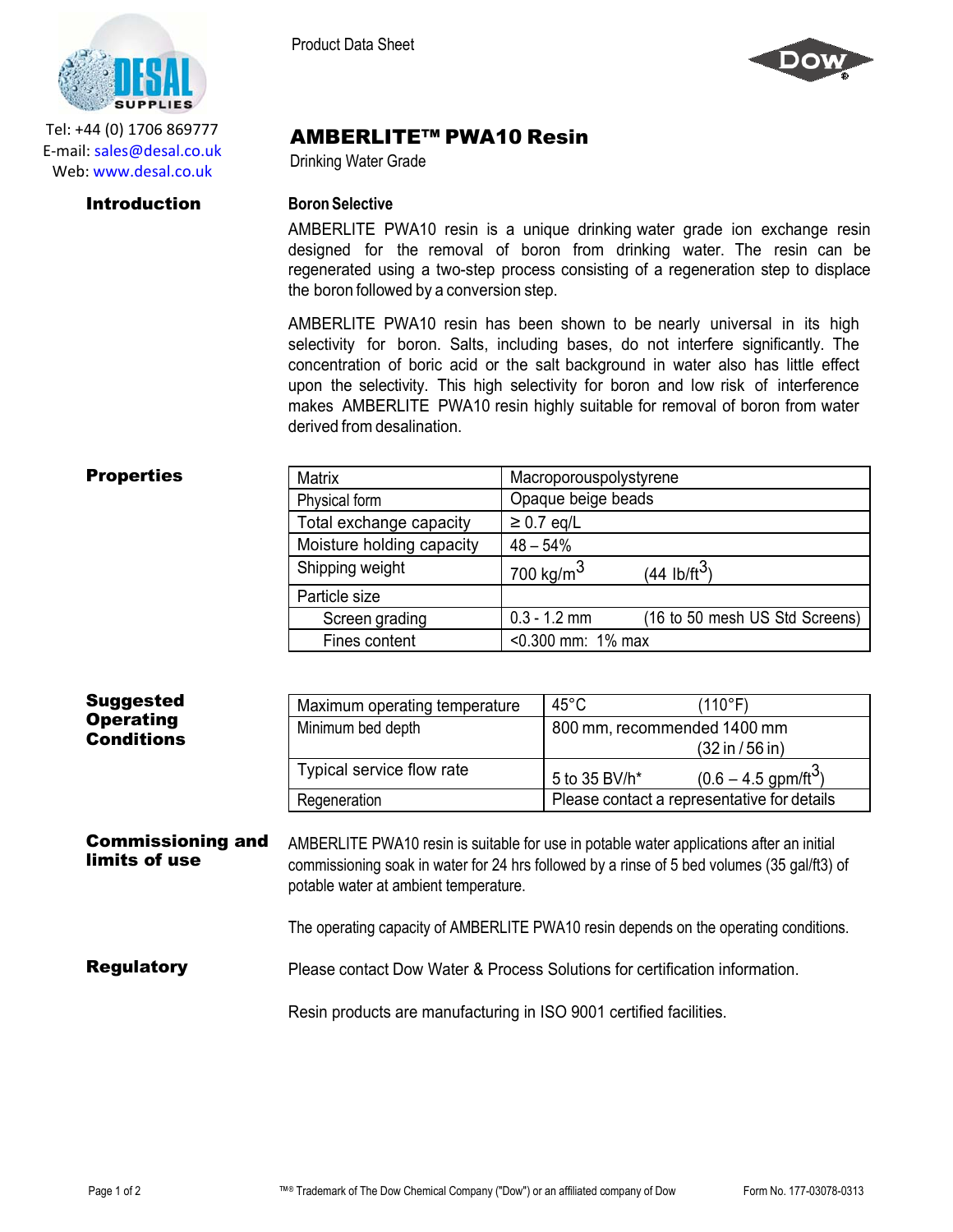

Tel: +44 (0) 1706 869777 E‐mail: sales@desal.co.uk Web: www.desal.co.uk

### Product Data Sheet



# AMBERLITE™ PWA10 Resin

Drinking Water Grade

### **Introduction Boron** Selective

AMBERLITE PWA10 resin is a unique drinking water grade ion exchange resin designed for the removal of boron from drinking water. The resin can be regenerated using a two-step process consisting of a regeneration step to displace the boron followed by a conversion step.

AMBERLITE PWA10 resin has been shown to be nearly universal in its high selectivity for boron. Salts, including bases, do not interfere significantly. The concentration of boric acid or the salt background in water also has little effect upon the selectivity. This high selectivity for boron and low risk of interference makes AMBERLITE PWA10 resin highly suitable for removal of boron from water derived from desalination.

| <b>Properties</b> | <b>Matrix</b>             | Macroporouspolystyrene |                                |
|-------------------|---------------------------|------------------------|--------------------------------|
|                   | Physical form             | Opaque beige beads     |                                |
|                   | Total exchange capacity   | $\geq$ 0.7 eq/L        |                                |
|                   | Moisture holding capacity | $48 - 54%$             |                                |
|                   | Shipping weight           | 700 kg/m $^3$          | $(44 \text{ lb/ft}^3)$         |
|                   | Particle size             |                        |                                |
|                   | Screen grading            | $0.3 - 1.2$ mm         | (16 to 50 mesh US Std Screens) |
|                   | Fines content             | $< 0.300$ mm: 1% max   |                                |

| <b>Suggested</b><br><b>Operating</b><br><b>Conditions</b> | Maximum operating temperature<br>Minimum bed depth                                                                                                                                                                               | $45^{\circ}$ C<br>800 mm, recommended 1400 mm | (110°F)                                     |
|-----------------------------------------------------------|----------------------------------------------------------------------------------------------------------------------------------------------------------------------------------------------------------------------------------|-----------------------------------------------|---------------------------------------------|
|                                                           |                                                                                                                                                                                                                                  |                                               | (32 in / 56 in)                             |
|                                                           | Typical service flow rate                                                                                                                                                                                                        | 5 to 35 BV/h*                                 | $(0.6 - 4.5$ gpm/ft <sup>3</sup> )          |
|                                                           | Regeneration                                                                                                                                                                                                                     |                                               | Please contact a representative for details |
|                                                           |                                                                                                                                                                                                                                  |                                               |                                             |
| <b>Commissioning and</b><br>limits of use                 | AMBERLITE PWA10 resin is suitable for use in potable water applications after an initial<br>commissioning soak in water for 24 hrs followed by a rinse of 5 bed volumes (35 gal/ft3) of<br>potable water at ambient temperature. |                                               |                                             |
|                                                           | The operating capacity of AMBERLITE PWA10 resin depends on the operating conditions.                                                                                                                                             |                                               |                                             |

Resin products are manufacturing in ISO 9001 certified facilities.